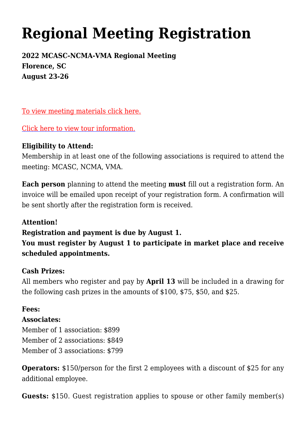# **[Regional Meeting Registration](http://www.ncmotorcoach.org/regional-meeting-registration/)**

**2022 MCASC-NCMA-VMA Regional Meeting Florence, SC August 23-26**

[To view meeting materials click here.](http://www.scmotorcoach.org/wp-content/uploads/2022/03/Registration.pdf)

[Click here to view tour information.](http://www.scmotorcoach.org/wp-content/uploads/2022/03/TourOptions.pdf)

# **Eligibility to Attend:**

Membership in at least one of the following associations is required to attend the meeting: MCASC, NCMA, VMA.

**Each person** planning to attend the meeting **must** fill out a registration form. An invoice will be emailed upon receipt of your registration form. A confirmation will be sent shortly after the registration form is received.

# **Attention!**

# **Registration and payment is due by August 1.**

**You must register by August 1 to participate in market place and receive scheduled appointments.**

# **Cash Prizes:**

All members who register and pay by **April 13** will be included in a drawing for the following cash prizes in the amounts of \$100, \$75, \$50, and \$25.

#### **Fees:**

# **Associates:**

Member of 1 association: \$899 Member of 2 associations: \$849 Member of 3 associations: \$799

**Operators:** \$150/person for the first 2 employees with a discount of \$25 for any additional employee.

**Guests:** \$150. Guest registration applies to spouse or other family member(s)